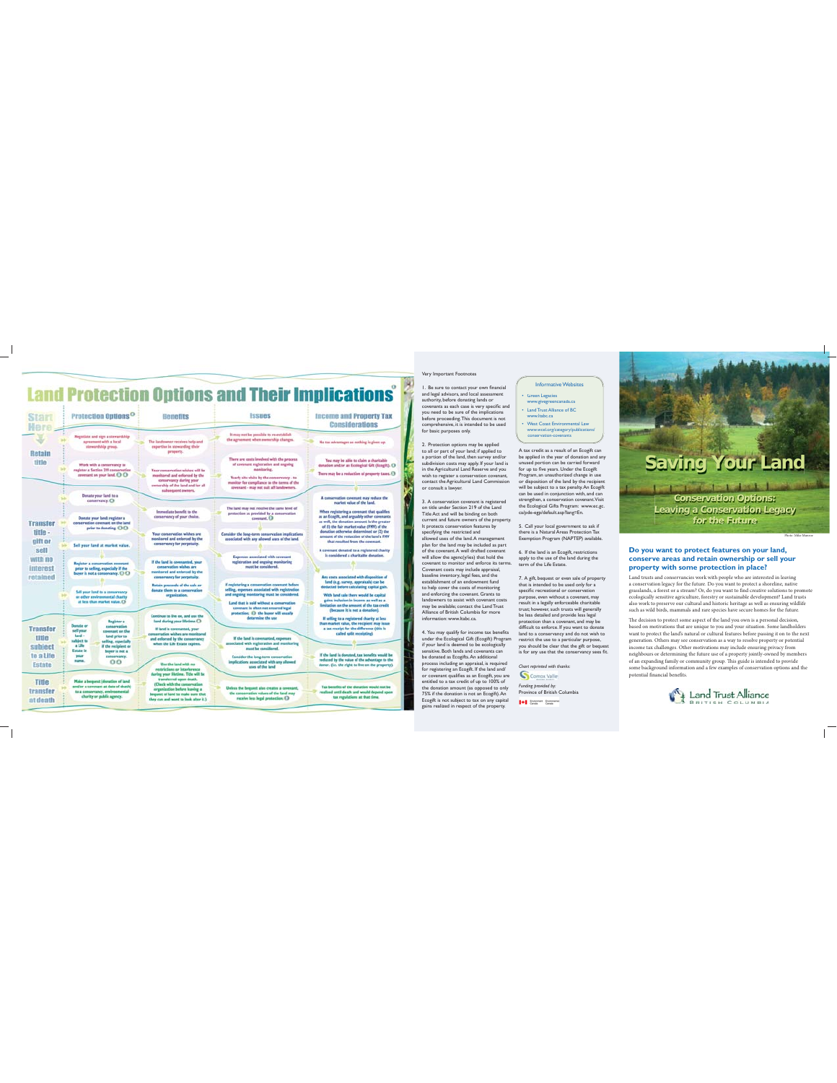## **Land Protection Options and Their Implications**

 $\mathbf{r}$ 

T,



### Very Important Footnotes

1. Be sure to contact your own financial<br>and legal advisors, and local assessment<br>authority, before donating lands or<br>covenants as each case is very specific and<br>you need to be sure of the implications<br>before proceeding.<br>T

2. Protection options may be applied to all or part of your land; if applied to a portion of the land, then survey and/or sime of the land, then survey and/or in the Agricultural Land Reserve and you wish to register a con

3. A conservation covernant is registered<br>by the land on the shear of conservation correlation and the behavior<br>conservation and the binding on both property. It proceeds conservation<br>for the property dependent of the pro

4. You may qualify for income tax benefits the strong structure and the decologically of your land is described to be cologically estimated to the denoted as Ecop(fix). An additional process including an appraisal is requ

### Informative Websites Green Legacies www.givegreencanada.ca Land Trust Alliance of BC

www.ltabc.ca West Coast Environmental Law www.wcel.org/category/publications/ conservation-covenants

A tax credit as a result of an Ecogift can<br>be applied in the year of donation and any<br>unused portion can be carried forward<br>for up to five years. Under the Ecogift<br>Program, an unauthorized change in use<br>or disposition of t strengthen, a conservation covenant.Visit<br>the Ecological Gifts Program: www.ec.gc.<br>ca/pde-egp/default.asp?lang=En.

5. Call your local government to ask if<br>there is a Natural Areas Protection Tax<br>Exemption Program (NAPTEP) available.

6. If the land is an Ecogift, restrictions<br>apply to the use of the land during the<br>term of the Life Estate.

 $7. A$  gift, bequest or even sale of property<br>papelin cerceration of the used only for a<br>papelin recreational or conservation<br>papeline, even without a coverant, may<br>perpose, even without a coverant, may<br>perform the papelin

*Chart reprinted with thanks*

*Funding provided by:*<br>Province of British Columbia 14 State State



# **Do you want to protect features on your land, conserve areas and retain ownership or sell your property with some protection in place?**

Land trusts and conservancies work with people who are interested in leaving<br>a conservation legacy for the future. Do you want to protect a shoreline, native<br>grasslands, a forest or a stream? Or, do you want to find creati ecologically sensitive agriculture, forestry or sustainable development? Land trusts<br>also work to preserve our cultural and historic heritage as well as ensuring wildlife<br>such as wild birds, mammals and rare species have s

The decision to protect some aspect of the land you own is a personal decision, because these do m motivations that are unique to you and your situation. Some landbolders want to protect the lands natural or cultural feat



 $\mathbb{L}$